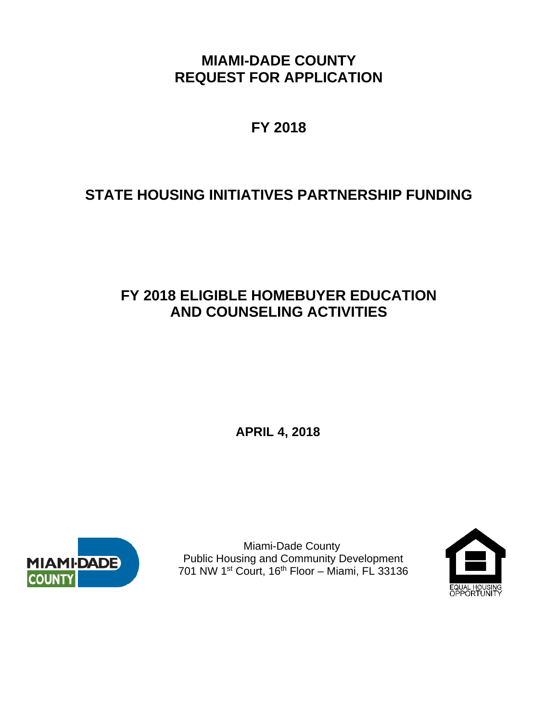**MIAMI-DADE COUNTY REQUEST FOR APPLICATION** 

**FY 2018** 

# **STATE HOUSING INITIATIVES PARTNERSHIP FUNDING**

# **FY 2018 ELIGIBLE HOMEBUYER EDUCATION AND COUNSELING ACTIVITIES**

**APRIL 4, 2018**



 Miami-Dade County Public Housing and Community Development 701 NW 1st Court, 16th Floor – Miami, FL 33136

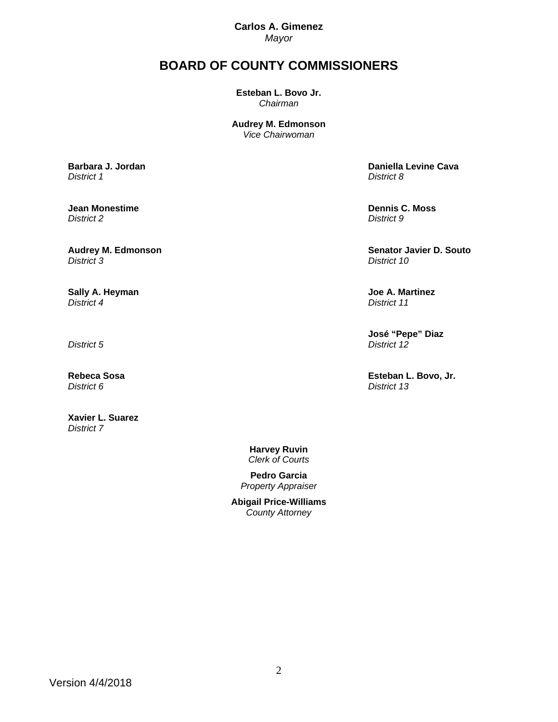**Carlos A. Gimenez**  *Mayor* 

## **BOARD OF COUNTY COMMISSIONERS**

**Esteban L. Bovo Jr.**  *Chairman* 

**Audrey M. Edmonson** *Vice Chairwoman*

**Barbara J. Jordan**  *District 1*

**Jean Monestime**  *District 2*

**Audrey M. Edmonson**  *District 3*

**Sally A. Heyman**  *District 4*

*District 5*

**Rebeca Sosa**  *District 6*

**Xavier L. Suarez**  *District 7* 

 **Daniella Levine Cava**  *District 8*

 **Dennis C. Moss**  *District 9*

 **Senator Javier D. Souto**  *District 10*

 **Joe A. Martinez**  *District 11*

 **José "Pepe" Diaz**  *District 12*

 **Esteban L. Bovo, Jr.**  *District 13*

**Harvey Ruvin**  *Clerk of Courts* 

**Pedro Garcia**  *Property Appraiser*

**Abigail Price-Williams**  *County Attorney*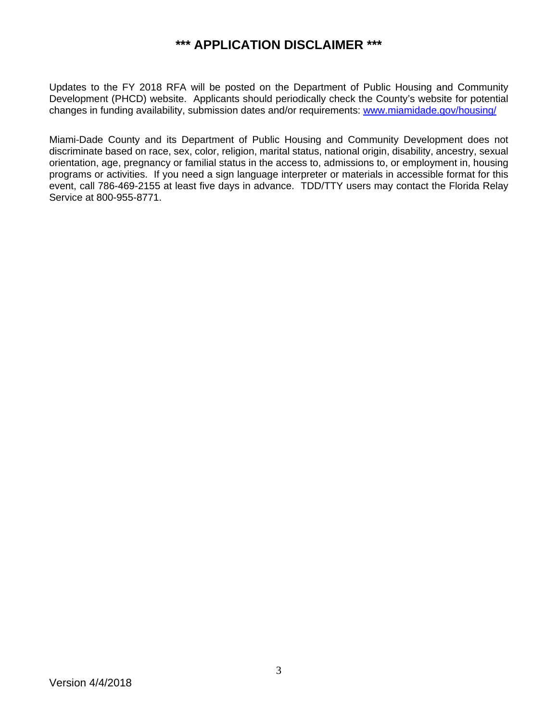## **\*\*\* APPLICATION DISCLAIMER \*\*\***

Updates to the FY 2018 RFA will be posted on the Department of Public Housing and Community Development (PHCD) website. Applicants should periodically check the County's website for potential changes in funding availability, submission dates and/or requirements: www.miamidade.gov/housing/

Miami-Dade County and its Department of Public Housing and Community Development does not discriminate based on race, sex, color, religion, marital status, national origin, disability, ancestry, sexual orientation, age, pregnancy or familial status in the access to, admissions to, or employment in, housing programs or activities. If you need a sign language interpreter or materials in accessible format for this event, call 786-469-2155 at least five days in advance. TDD/TTY users may contact the Florida Relay Service at 800-955-8771.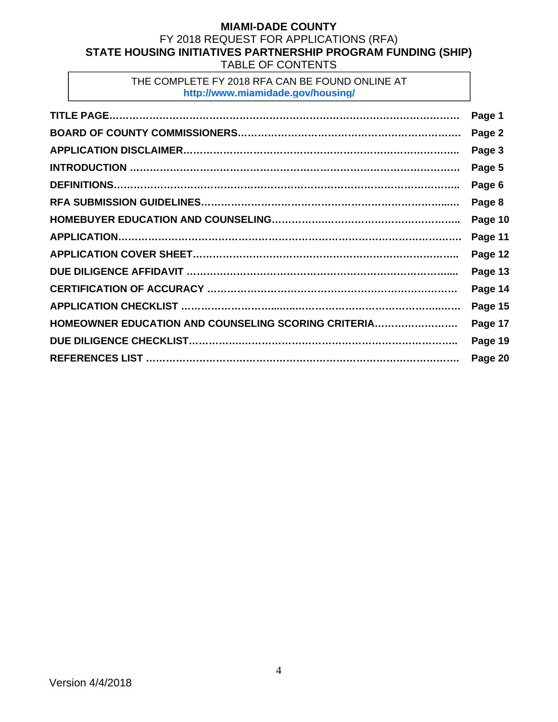## **MIAMI-DADE COUNTY**  FY 2018 REQUEST FOR APPLICATIONS (RFA) **STATE HOUSING INITIATIVES PARTNERSHIP PROGRAM FUNDING (SHIP)**  TABLE OF CONTENTS

## THE COMPLETE FY 2018 RFA CAN BE FOUND ONLINE AT **http://www.miamidade.gov/housing/**

|                                                     | Page 1  |
|-----------------------------------------------------|---------|
|                                                     | Page 2  |
|                                                     | Page 3  |
|                                                     | Page 5  |
|                                                     | Page 6  |
|                                                     | Page 8  |
|                                                     | Page 10 |
|                                                     | Page 11 |
|                                                     | Page 12 |
|                                                     | Page 13 |
|                                                     | Page 14 |
|                                                     | Page 15 |
| HOMEOWNER EDUCATION AND COUNSELING SCORING CRITERIA | Page 17 |
|                                                     | Page 19 |
|                                                     | Page 20 |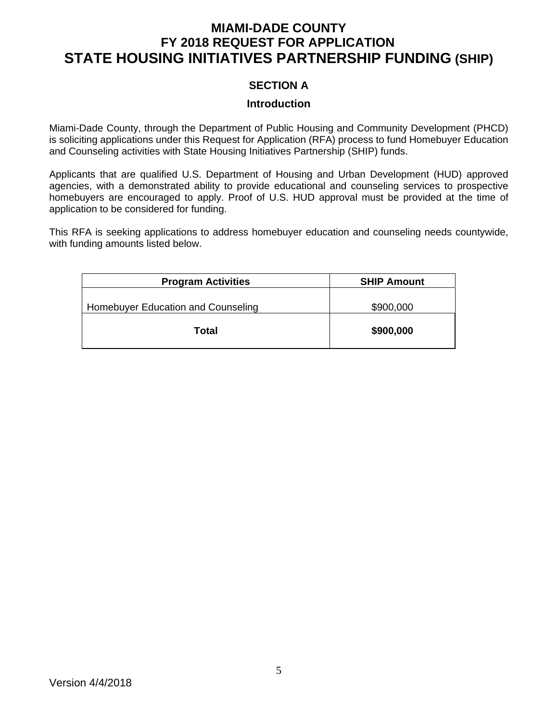# **MIAMI-DADE COUNTY FY 2018 REQUEST FOR APPLICATION STATE HOUSING INITIATIVES PARTNERSHIP FUNDING (SHIP)**

## **SECTION A**

#### **Introduction**

Miami-Dade County, through the Department of Public Housing and Community Development (PHCD) is soliciting applications under this Request for Application (RFA) process to fund Homebuyer Education and Counseling activities with State Housing Initiatives Partnership (SHIP) funds.

Applicants that are qualified U.S. Department of Housing and Urban Development (HUD) approved agencies, with a demonstrated ability to provide educational and counseling services to prospective homebuyers are encouraged to apply. Proof of U.S. HUD approval must be provided at the time of application to be considered for funding.

This RFA is seeking applications to address homebuyer education and counseling needs countywide, with funding amounts listed below.

| <b>Program Activities</b>          | <b>SHIP Amount</b> |
|------------------------------------|--------------------|
| Homebuyer Education and Counseling | \$900,000          |
| Total                              | \$900,000          |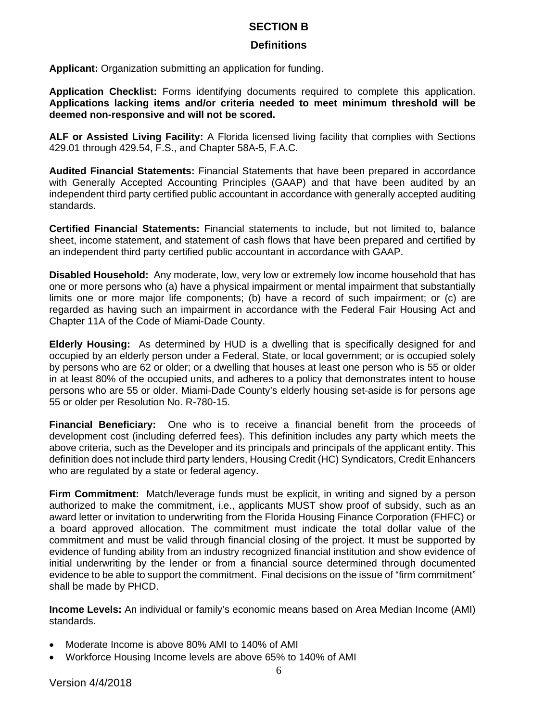## **SECTION B**

## **Definitions**

**Applicant:** Organization submitting an application for funding.

**Application Checklist:** Forms identifying documents required to complete this application. **Applications lacking items and/or criteria needed to meet minimum threshold will be deemed non-responsive and will not be scored.** 

**ALF or Assisted Living Facility:** A Florida licensed living facility that complies with Sections 429.01 through 429.54, F.S., and Chapter 58A-5, F.A.C.

**Audited Financial Statements:** Financial Statements that have been prepared in accordance with Generally Accepted Accounting Principles (GAAP) and that have been audited by an independent third party certified public accountant in accordance with generally accepted auditing standards.

**Certified Financial Statements:** Financial statements to include, but not limited to, balance sheet, income statement, and statement of cash flows that have been prepared and certified by an independent third party certified public accountant in accordance with GAAP.

**Disabled Household:** Any moderate, low, very low or extremely low income household that has one or more persons who (a) have a physical impairment or mental impairment that substantially limits one or more major life components; (b) have a record of such impairment; or (c) are regarded as having such an impairment in accordance with the Federal Fair Housing Act and Chapter 11A of the Code of Miami-Dade County.

**Elderly Housing:** As determined by HUD is a dwelling that is specifically designed for and occupied by an elderly person under a Federal, State, or local government; or is occupied solely by persons who are 62 or older; or a dwelling that houses at least one person who is 55 or older in at least 80% of the occupied units, and adheres to a policy that demonstrates intent to house persons who are 55 or older. Miami-Dade County's elderly housing set-aside is for persons age 55 or older per Resolution No. R-780-15.

**Financial Beneficiary:** One who is to receive a financial benefit from the proceeds of development cost (including deferred fees). This definition includes any party which meets the above criteria, such as the Developer and its principals and principals of the applicant entity. This definition does not include third party lenders, Housing Credit (HC) Syndicators, Credit Enhancers who are regulated by a state or federal agency.

**Firm Commitment:** Match/leverage funds must be explicit, in writing and signed by a person authorized to make the commitment, i.e., applicants MUST show proof of subsidy, such as an award letter or invitation to underwriting from the Florida Housing Finance Corporation (FHFC) or a board approved allocation. The commitment must indicate the total dollar value of the commitment and must be valid through financial closing of the project. It must be supported by evidence of funding ability from an industry recognized financial institution and show evidence of initial underwriting by the lender or from a financial source determined through documented evidence to be able to support the commitment. Final decisions on the issue of "firm commitment" shall be made by PHCD.

**Income Levels:** An individual or family's economic means based on Area Median Income (AMI) standards.

- Moderate Income is above 80% AMI to 140% of AMI
- Workforce Housing Income levels are above 65% to 140% of AMI

Version 4/4/2018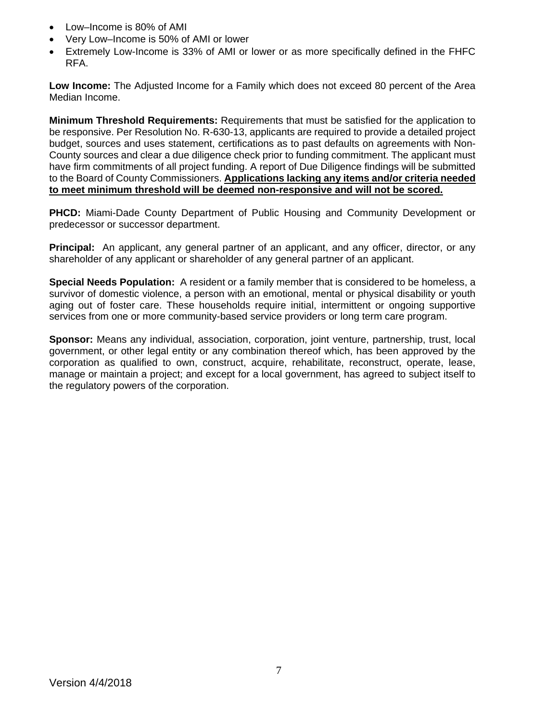- Low–Income is 80% of AMI
- Very Low–Income is 50% of AMI or lower
- Extremely Low-Income is 33% of AMI or lower or as more specifically defined in the FHFC RFA.

**Low Income:** The Adjusted Income for a Family which does not exceed 80 percent of the Area Median Income.

**Minimum Threshold Requirements:** Requirements that must be satisfied for the application to be responsive. Per Resolution No. R-630-13, applicants are required to provide a detailed project budget, sources and uses statement, certifications as to past defaults on agreements with Non-County sources and clear a due diligence check prior to funding commitment. The applicant must have firm commitments of all project funding. A report of Due Diligence findings will be submitted to the Board of County Commissioners. **Applications lacking any items and/or criteria needed to meet minimum threshold will be deemed non-responsive and will not be scored.** 

**PHCD:** Miami-Dade County Department of Public Housing and Community Development or predecessor or successor department.

**Principal:** An applicant, any general partner of an applicant, and any officer, director, or any shareholder of any applicant or shareholder of any general partner of an applicant.

**Special Needs Population:** A resident or a family member that is considered to be homeless, a survivor of domestic violence, a person with an emotional, mental or physical disability or youth aging out of foster care. These households require initial, intermittent or ongoing supportive services from one or more community-based service providers or long term care program.

**Sponsor:** Means any individual, association, corporation, joint venture, partnership, trust, local government, or other legal entity or any combination thereof which, has been approved by the corporation as qualified to own, construct, acquire, rehabilitate, reconstruct, operate, lease, manage or maintain a project; and except for a local government, has agreed to subject itself to the regulatory powers of the corporation.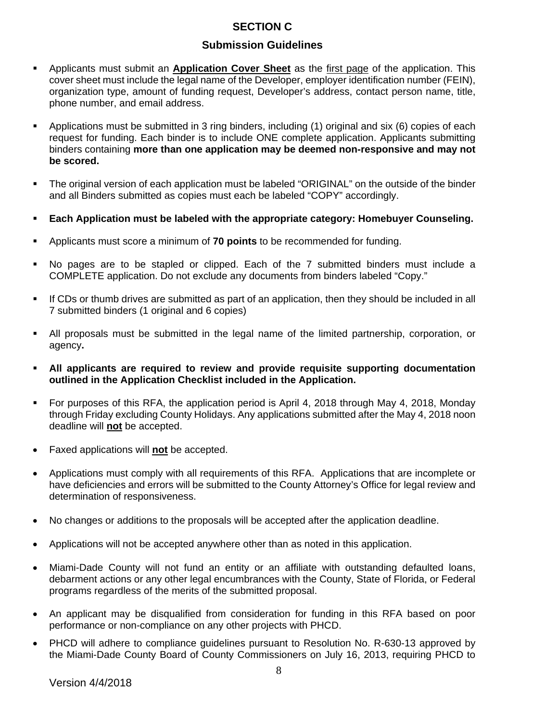## **SECTION C**

## **Submission Guidelines**

- Applicants must submit an **Application Cover Sheet** as the first page of the application. This cover sheet must include the legal name of the Developer, employer identification number (FEIN), organization type, amount of funding request, Developer's address, contact person name, title, phone number, and email address.
- Applications must be submitted in 3 ring binders, including (1) original and six (6) copies of each request for funding. Each binder is to include ONE complete application. Applicants submitting binders containing **more than one application may be deemed non-responsive and may not be scored.**
- The original version of each application must be labeled "ORIGINAL" on the outside of the binder and all Binders submitted as copies must each be labeled "COPY" accordingly.
- **Each Application must be labeled with the appropriate category: Homebuyer Counseling.**
- Applicants must score a minimum of **70 points** to be recommended for funding.
- No pages are to be stapled or clipped. Each of the 7 submitted binders must include a COMPLETE application. Do not exclude any documents from binders labeled "Copy."
- If CDs or thumb drives are submitted as part of an application, then they should be included in all 7 submitted binders (1 original and 6 copies)
- All proposals must be submitted in the legal name of the limited partnership, corporation, or agency**.**
- **All applicants are required to review and provide requisite supporting documentation outlined in the Application Checklist included in the Application.**
- For purposes of this RFA, the application period is April 4, 2018 through May 4, 2018, Monday through Friday excluding County Holidays. Any applications submitted after the May 4, 2018 noon deadline will **not** be accepted.
- Faxed applications will **not** be accepted.
- Applications must comply with all requirements of this RFA. Applications that are incomplete or have deficiencies and errors will be submitted to the County Attorney's Office for legal review and determination of responsiveness.
- No changes or additions to the proposals will be accepted after the application deadline.
- Applications will not be accepted anywhere other than as noted in this application.
- Miami-Dade County will not fund an entity or an affiliate with outstanding defaulted loans, debarment actions or any other legal encumbrances with the County, State of Florida, or Federal programs regardless of the merits of the submitted proposal.
- An applicant may be disqualified from consideration for funding in this RFA based on poor performance or non-compliance on any other projects with PHCD.
- PHCD will adhere to compliance quidelines pursuant to Resolution No. R-630-13 approved by the Miami-Dade County Board of County Commissioners on July 16, 2013, requiring PHCD to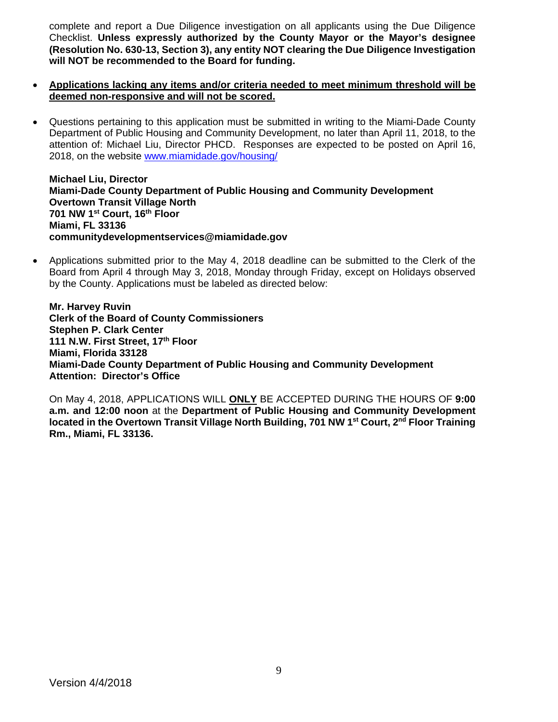complete and report a Due Diligence investigation on all applicants using the Due Diligence Checklist. **Unless expressly authorized by the County Mayor or the Mayor's designee (Resolution No. 630-13, Section 3), any entity NOT clearing the Due Diligence Investigation will NOT be recommended to the Board for funding.** 

- **Applications lacking any items and/or criteria needed to meet minimum threshold will be deemed non-responsive and will not be scored.**
- Questions pertaining to this application must be submitted in writing to the Miami-Dade County Department of Public Housing and Community Development, no later than April 11, 2018, to the attention of: Michael Liu, Director PHCD. Responses are expected to be posted on April 16, 2018, on the website www.miamidade.gov/housing/

**Michael Liu, Director Miami-Dade County Department of Public Housing and Community Development Overtown Transit Village North 701 NW 1st Court, 16th Floor Miami, FL 33136 communitydevelopmentservices@miamidade.gov** 

 Applications submitted prior to the May 4, 2018 deadline can be submitted to the Clerk of the Board from April 4 through May 3, 2018, Monday through Friday, except on Holidays observed by the County. Applications must be labeled as directed below:

**Mr. Harvey Ruvin Clerk of the Board of County Commissioners Stephen P. Clark Center 111 N.W. First Street, 17th Floor Miami, Florida 33128 Miami-Dade County Department of Public Housing and Community Development Attention: Director's Office** 

On May 4, 2018, APPLICATIONS WILL **ONLY** BE ACCEPTED DURING THE HOURS OF **9:00 a.m. and 12:00 noon** at the **Department of Public Housing and Community Development located in the Overtown Transit Village North Building, 701 NW 1st Court, 2nd Floor Training Rm., Miami, FL 33136.**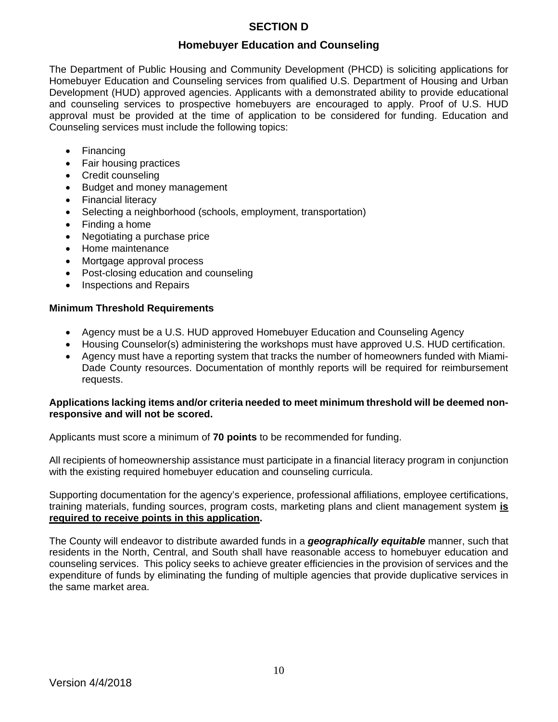## **SECTION D**

## **Homebuyer Education and Counseling**

The Department of Public Housing and Community Development (PHCD) is soliciting applications for Homebuyer Education and Counseling services from qualified U.S. Department of Housing and Urban Development (HUD) approved agencies. Applicants with a demonstrated ability to provide educational and counseling services to prospective homebuyers are encouraged to apply. Proof of U.S. HUD approval must be provided at the time of application to be considered for funding. Education and Counseling services must include the following topics:

- Financing
- Fair housing practices
- Credit counseling
- Budget and money management
- Financial literacy
- Selecting a neighborhood (schools, employment, transportation)
- Finding a home
- Negotiating a purchase price
- Home maintenance
- Mortgage approval process
- Post-closing education and counseling
- Inspections and Repairs

#### **Minimum Threshold Requirements**

- Agency must be a U.S. HUD approved Homebuyer Education and Counseling Agency
- Housing Counselor(s) administering the workshops must have approved U.S. HUD certification.
- Agency must have a reporting system that tracks the number of homeowners funded with Miami-Dade County resources. Documentation of monthly reports will be required for reimbursement requests.

#### **Applications lacking items and/or criteria needed to meet minimum threshold will be deemed nonresponsive and will not be scored.**

Applicants must score a minimum of **70 points** to be recommended for funding.

All recipients of homeownership assistance must participate in a financial literacy program in conjunction with the existing required homebuyer education and counseling curricula.

Supporting documentation for the agency's experience, professional affiliations, employee certifications, training materials, funding sources, program costs, marketing plans and client management system **is required to receive points in this application.** 

The County will endeavor to distribute awarded funds in a *geographically equitable* manner, such that residents in the North, Central, and South shall have reasonable access to homebuyer education and counseling services. This policy seeks to achieve greater efficiencies in the provision of services and the expenditure of funds by eliminating the funding of multiple agencies that provide duplicative services in the same market area.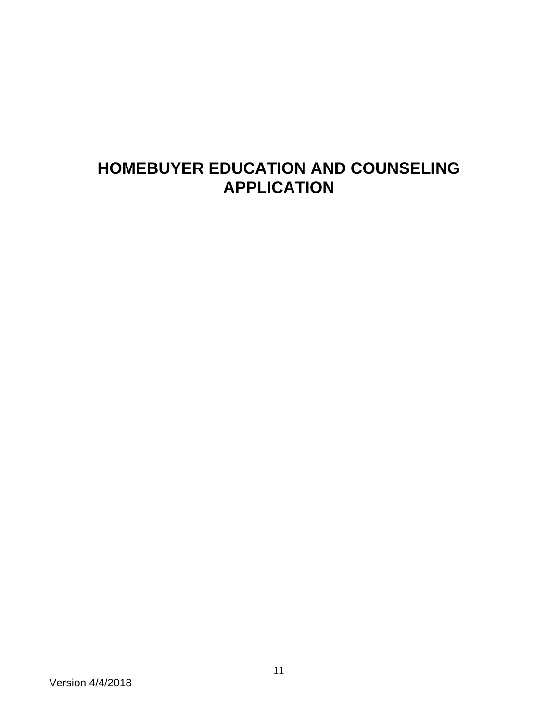# **HOMEBUYER EDUCATION AND COUNSELING APPLICATION**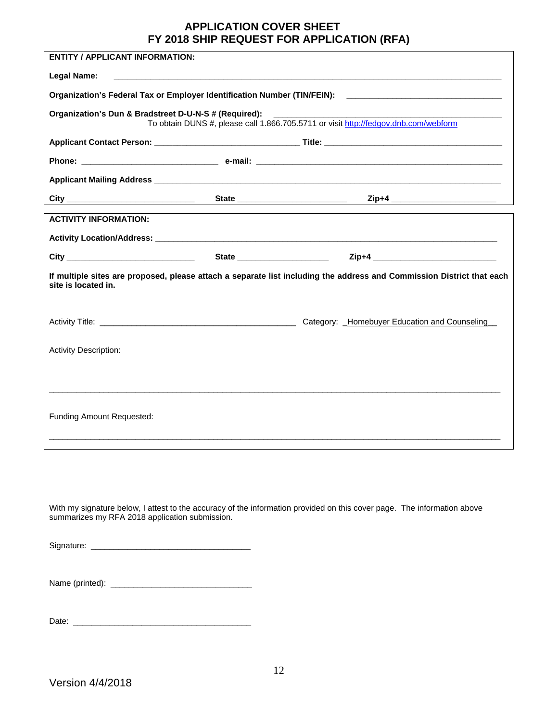#### **APPLICATION COVER SHEET FY 2018 SHIP REQUEST FOR APPLICATION (RFA)**

| <b>ENTITY / APPLICANT INFORMATION:</b>                                           |                                                                                                                       |  |                                                                                                      |  |
|----------------------------------------------------------------------------------|-----------------------------------------------------------------------------------------------------------------------|--|------------------------------------------------------------------------------------------------------|--|
| <b>Legal Name:</b>                                                               |                                                                                                                       |  | ,我们也不能在这里,我们也不能在这里的时候,我们也不能会不能会不能会不能会不能会不能会不能会。""我们的人们,我们也不能会不能会不能会不能会不能会不能会不能会不                     |  |
|                                                                                  |                                                                                                                       |  | Organization's Federal Tax or Employer Identification Number (TIN/FEIN): ___________________________ |  |
| Organization's Dun & Bradstreet D-U-N-S # (Required): __________________________ |                                                                                                                       |  | To obtain DUNS #, please call 1.866.705.5711 or visit http://fedgov.dnb.com/webform                  |  |
|                                                                                  |                                                                                                                       |  |                                                                                                      |  |
|                                                                                  |                                                                                                                       |  |                                                                                                      |  |
|                                                                                  |                                                                                                                       |  |                                                                                                      |  |
|                                                                                  |                                                                                                                       |  |                                                                                                      |  |
| <b>ACTIVITY INFORMATION:</b>                                                     |                                                                                                                       |  |                                                                                                      |  |
|                                                                                  |                                                                                                                       |  |                                                                                                      |  |
|                                                                                  |                                                                                                                       |  |                                                                                                      |  |
| site is located in.                                                              | If multiple sites are proposed, please attach a separate list including the address and Commission District that each |  |                                                                                                      |  |
|                                                                                  |                                                                                                                       |  | Category: _Homebuyer Education and Counseling_                                                       |  |
| <b>Activity Description:</b>                                                     |                                                                                                                       |  |                                                                                                      |  |
|                                                                                  |                                                                                                                       |  |                                                                                                      |  |
|                                                                                  |                                                                                                                       |  |                                                                                                      |  |
| Funding Amount Requested:                                                        |                                                                                                                       |  |                                                                                                      |  |
|                                                                                  |                                                                                                                       |  |                                                                                                      |  |

With my signature below, I attest to the accuracy of the information provided on this cover page. The information above summarizes my RFA 2018 application submission.

Signature: \_\_\_\_\_\_\_\_\_\_\_\_\_\_\_\_\_\_\_\_\_\_\_\_\_\_\_\_\_\_\_\_\_\_\_

| Name (printed): |  |
|-----------------|--|
|-----------------|--|

Date: \_\_\_\_\_\_\_\_\_\_\_\_\_\_\_\_\_\_\_\_\_\_\_\_\_\_\_\_\_\_\_\_\_\_\_\_\_\_\_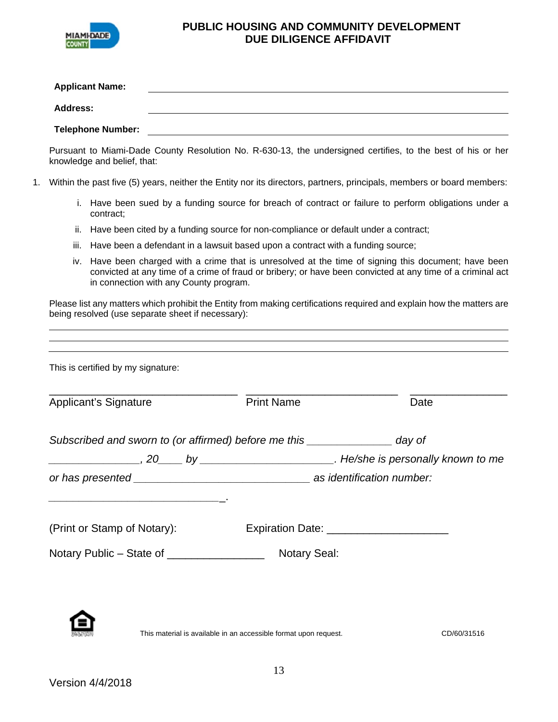

#### **PUBLIC HOUSING AND COMMUNITY DEVELOPMENT DUE DILIGENCE AFFIDAVIT**

| <b>Applicant Name:</b>   |  |
|--------------------------|--|
| <b>Address:</b>          |  |
| <b>Telephone Number:</b> |  |

Pursuant to Miami-Dade County Resolution No. R-630-13, the undersigned certifies, to the best of his or her knowledge and belief, that:

- 1. Within the past five (5) years, neither the Entity nor its directors, partners, principals, members or board members:
	- i. Have been sued by a funding source for breach of contract or failure to perform obligations under a contract;
	- ii. Have been cited by a funding source for non-compliance or default under a contract;
	- iii. Have been a defendant in a lawsuit based upon a contract with a funding source;
	- iv. Have been charged with a crime that is unresolved at the time of signing this document; have been convicted at any time of a crime of fraud or bribery; or have been convicted at any time of a criminal act in connection with any County program.

Please list any matters which prohibit the Entity from making certifications required and explain how the matters are being resolved (use separate sheet if necessary):

| This is certified by my signature:                                             |                     |      |
|--------------------------------------------------------------------------------|---------------------|------|
| <b>Applicant's Signature</b>                                                   | <b>Print Name</b>   | Date |
| Subscribed and sworn to (or affirmed) before me this __________________ day of |                     |      |
|                                                                                |                     |      |
|                                                                                |                     |      |
| (Print or Stamp of Notary):                                                    |                     |      |
| Notary Public – State of __________________                                    | <b>Notary Seal:</b> |      |
|                                                                                |                     |      |

This material is available in an accessible format upon request. CD/60/31516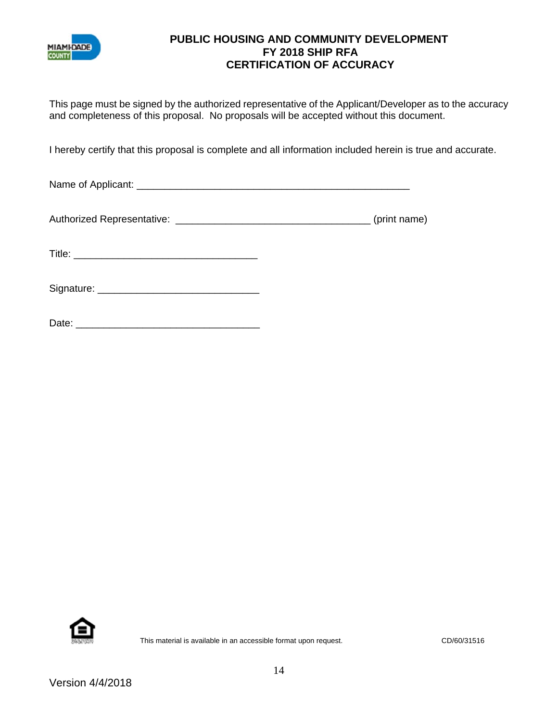

## **PUBLIC HOUSING AND COMMUNITY DEVELOPMENT FY 2018 SHIP RFA CERTIFICATION OF ACCURACY**

This page must be signed by the authorized representative of the Applicant/Developer as to the accuracy and completeness of this proposal. No proposals will be accepted without this document.

I hereby certify that this proposal is complete and all information included herein is true and accurate.

Name of Applicant: \_\_\_\_\_\_\_\_\_\_\_\_\_\_\_\_\_\_\_\_\_\_\_\_\_\_\_\_\_\_\_\_\_\_\_\_\_\_\_\_\_\_\_\_\_\_\_\_\_

Authorized Representative: \_\_\_\_\_\_\_\_\_\_\_\_\_\_\_\_\_\_\_\_\_\_\_\_\_\_\_\_\_\_\_\_\_\_\_ (print name)

Title: \_\_\_\_\_\_\_\_\_\_\_\_\_\_\_\_\_\_\_\_\_\_\_\_\_\_\_\_\_\_\_\_\_

Signature: \_\_\_\_\_\_\_\_\_\_\_\_\_\_\_\_\_\_\_\_\_\_\_\_\_\_\_\_\_

| ∩ate∙<br>υαισ. |  |
|----------------|--|
|                |  |

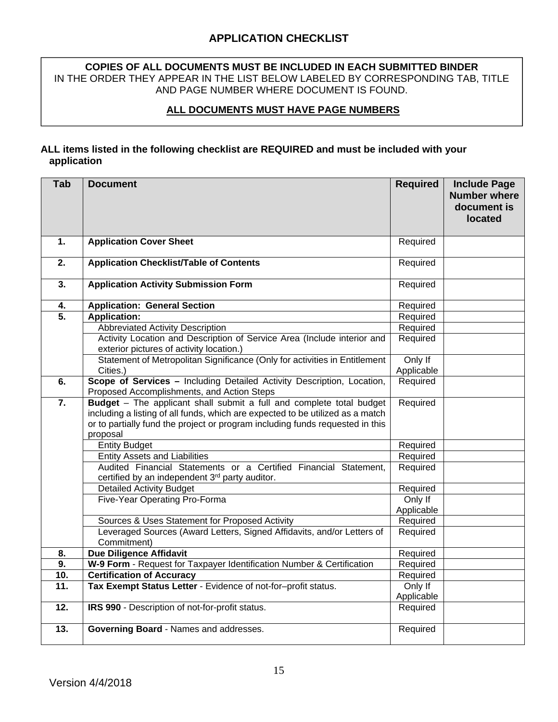## **APPLICATION CHECKLIST**

#### **COPIES OF ALL DOCUMENTS MUST BE INCLUDED IN EACH SUBMITTED BINDER**  IN THE ORDER THEY APPEAR IN THE LIST BELOW LABELED BY CORRESPONDING TAB, TITLE AND PAGE NUMBER WHERE DOCUMENT IS FOUND.

## **ALL DOCUMENTS MUST HAVE PAGE NUMBERS**

#### **ALL items listed in the following checklist are REQUIRED and must be included with your application**

| Tab               | <b>Document</b>                                                                                                                                                                                                                                     | <b>Required</b>       | <b>Include Page</b><br><b>Number where</b><br>document is<br>located |
|-------------------|-----------------------------------------------------------------------------------------------------------------------------------------------------------------------------------------------------------------------------------------------------|-----------------------|----------------------------------------------------------------------|
| 1.                | <b>Application Cover Sheet</b>                                                                                                                                                                                                                      | Required              |                                                                      |
| 2.                | <b>Application Checklist/Table of Contents</b>                                                                                                                                                                                                      | Required              |                                                                      |
| $\overline{3}$ .  | <b>Application Activity Submission Form</b>                                                                                                                                                                                                         | Required              |                                                                      |
| 4.                | <b>Application: General Section</b>                                                                                                                                                                                                                 | Required              |                                                                      |
| $\overline{5}$ .  | <b>Application:</b>                                                                                                                                                                                                                                 | Required              |                                                                      |
|                   | Abbreviated Activity Description                                                                                                                                                                                                                    | Required              |                                                                      |
|                   | Activity Location and Description of Service Area (Include interior and<br>exterior pictures of activity location.)                                                                                                                                 | Required              |                                                                      |
|                   | Statement of Metropolitan Significance (Only for activities in Entitlement                                                                                                                                                                          | Only If               |                                                                      |
|                   | Cities.)                                                                                                                                                                                                                                            | Applicable            |                                                                      |
| 6.                | Scope of Services - Including Detailed Activity Description, Location,<br>Proposed Accomplishments, and Action Steps                                                                                                                                | Required              |                                                                      |
| $\overline{7}$ .  | Budget - The applicant shall submit a full and complete total budget<br>including a listing of all funds, which are expected to be utilized as a match<br>or to partially fund the project or program including funds requested in this<br>proposal | Required              |                                                                      |
|                   | <b>Entity Budget</b>                                                                                                                                                                                                                                | Required              |                                                                      |
|                   | <b>Entity Assets and Liabilities</b>                                                                                                                                                                                                                | Required              |                                                                      |
|                   | Audited Financial Statements or a Certified Financial Statement,<br>certified by an independent 3rd party auditor.                                                                                                                                  | Required              |                                                                      |
|                   | <b>Detailed Activity Budget</b>                                                                                                                                                                                                                     | Required              |                                                                      |
|                   | Five-Year Operating Pro-Forma                                                                                                                                                                                                                       | Only If<br>Applicable |                                                                      |
|                   | Sources & Uses Statement for Proposed Activity                                                                                                                                                                                                      | Required              |                                                                      |
|                   | Leveraged Sources (Award Letters, Signed Affidavits, and/or Letters of<br>Commitment)                                                                                                                                                               | Required              |                                                                      |
| 8.                | <b>Due Diligence Affidavit</b>                                                                                                                                                                                                                      | Required              |                                                                      |
| 9.                | W-9 Form - Request for Taxpayer Identification Number & Certification                                                                                                                                                                               | Required              |                                                                      |
| 10.               | <b>Certification of Accuracy</b>                                                                                                                                                                                                                    | Required              |                                                                      |
| 11.               | Tax Exempt Status Letter - Evidence of not-for-profit status.                                                                                                                                                                                       | Only If<br>Applicable |                                                                      |
| $\overline{12}$ . | IRS 990 - Description of not-for-profit status.                                                                                                                                                                                                     | Required              |                                                                      |
| 13.               | Governing Board - Names and addresses.                                                                                                                                                                                                              | Required              |                                                                      |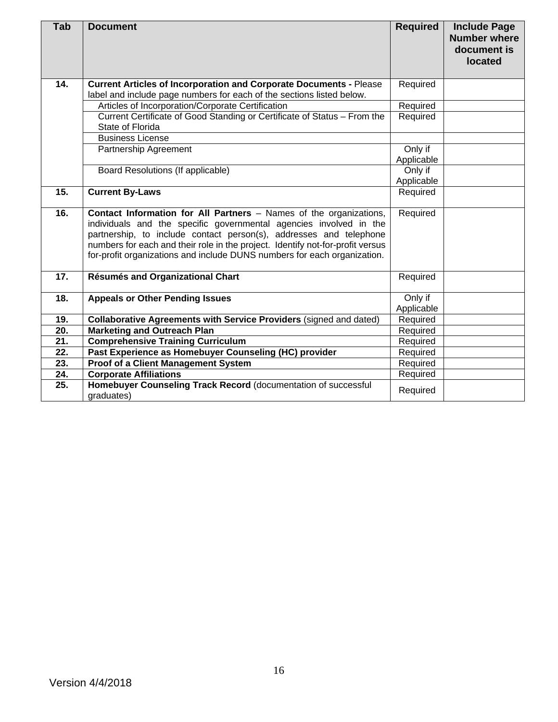| <b>Tab</b>        | <b>Document</b>                                                                                                                                                                                                                                                                                                                                                              | <b>Required</b>       | <b>Include Page</b><br><b>Number where</b><br>document is<br>located |
|-------------------|------------------------------------------------------------------------------------------------------------------------------------------------------------------------------------------------------------------------------------------------------------------------------------------------------------------------------------------------------------------------------|-----------------------|----------------------------------------------------------------------|
| 14.               | <b>Current Articles of Incorporation and Corporate Documents - Please</b>                                                                                                                                                                                                                                                                                                    | Required              |                                                                      |
|                   | label and include page numbers for each of the sections listed below.                                                                                                                                                                                                                                                                                                        |                       |                                                                      |
|                   | Articles of Incorporation/Corporate Certification                                                                                                                                                                                                                                                                                                                            | Required              |                                                                      |
|                   | Current Certificate of Good Standing or Certificate of Status - From the<br>State of Florida                                                                                                                                                                                                                                                                                 | Required              |                                                                      |
|                   | <b>Business License</b>                                                                                                                                                                                                                                                                                                                                                      |                       |                                                                      |
|                   | Partnership Agreement                                                                                                                                                                                                                                                                                                                                                        | Only if               |                                                                      |
|                   |                                                                                                                                                                                                                                                                                                                                                                              | Applicable            |                                                                      |
|                   | Board Resolutions (If applicable)                                                                                                                                                                                                                                                                                                                                            | Only if               |                                                                      |
|                   |                                                                                                                                                                                                                                                                                                                                                                              | Applicable            |                                                                      |
| 15.               | <b>Current By-Laws</b>                                                                                                                                                                                                                                                                                                                                                       | Required              |                                                                      |
| 16.               | Contact Information for All Partners - Names of the organizations,<br>individuals and the specific governmental agencies involved in the<br>partnership, to include contact person(s), addresses and telephone<br>numbers for each and their role in the project. Identify not-for-profit versus<br>for-profit organizations and include DUNS numbers for each organization. | Required              |                                                                      |
| 17.               | <b>Résumés and Organizational Chart</b>                                                                                                                                                                                                                                                                                                                                      | Required              |                                                                      |
| 18.               | <b>Appeals or Other Pending Issues</b>                                                                                                                                                                                                                                                                                                                                       | Only if<br>Applicable |                                                                      |
| 19.               | Collaborative Agreements with Service Providers (signed and dated)                                                                                                                                                                                                                                                                                                           | Required              |                                                                      |
| $\overline{20}$ . | <b>Marketing and Outreach Plan</b>                                                                                                                                                                                                                                                                                                                                           | Required              |                                                                      |
| 21.               | <b>Comprehensive Training Curriculum</b>                                                                                                                                                                                                                                                                                                                                     | Required              |                                                                      |
| 22.               | Past Experience as Homebuyer Counseling (HC) provider                                                                                                                                                                                                                                                                                                                        | Required              |                                                                      |
| 23.               | <b>Proof of a Client Management System</b>                                                                                                                                                                                                                                                                                                                                   | Required              |                                                                      |
| 24.               | <b>Corporate Affiliations</b>                                                                                                                                                                                                                                                                                                                                                | Required              |                                                                      |
| 25.               | Homebuyer Counseling Track Record (documentation of successful<br>graduates)                                                                                                                                                                                                                                                                                                 | Required              |                                                                      |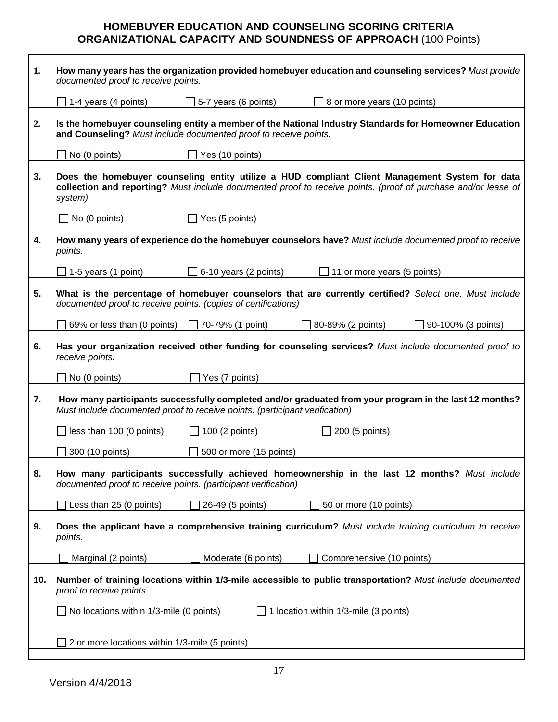## **HOMEBUYER EDUCATION AND COUNSELING SCORING CRITERIA ORGANIZATIONAL CAPACITY AND SOUNDNESS OF APPROACH** (100 Points)

| 1.  | How many years has the organization provided homebuyer education and counseling services? Must provide<br>documented proof to receive points.                              |                              |                                                                                                                                                                                                                 |  |
|-----|----------------------------------------------------------------------------------------------------------------------------------------------------------------------------|------------------------------|-----------------------------------------------------------------------------------------------------------------------------------------------------------------------------------------------------------------|--|
|     | 1-4 years (4 points)                                                                                                                                                       | 5-7 years (6 points)         | 8 or more years (10 points)                                                                                                                                                                                     |  |
| 2.  | Is the homebuyer counseling entity a member of the National Industry Standards for Homeowner Education<br>and Counseling? Must include documented proof to receive points. |                              |                                                                                                                                                                                                                 |  |
|     | No (0 points)                                                                                                                                                              | Yes (10 points)              |                                                                                                                                                                                                                 |  |
| 3.  | system)                                                                                                                                                                    |                              | Does the homebuyer counseling entity utilize a HUD compliant Client Management System for data<br>collection and reporting? Must include documented proof to receive points. (proof of purchase and/or lease of |  |
|     | $\Box$ No (0 points)                                                                                                                                                       | Yes (5 points)               |                                                                                                                                                                                                                 |  |
| 4.  | points.                                                                                                                                                                    |                              | How many years of experience do the homebuyer counselors have? Must include documented proof to receive                                                                                                         |  |
|     | J 1-5 years (1 point)                                                                                                                                                      | $\Box$ 6-10 years (2 points) | 11 or more years (5 points)                                                                                                                                                                                     |  |
| 5.  | documented proof to receive points. (copies of certifications)                                                                                                             |                              | What is the percentage of homebuyer counselors that are currently certified? Select one. Must include                                                                                                           |  |
|     | 69% or less than (0 points)                                                                                                                                                | $\Box$ 70-79% (1 point)      | 80-89% (2 points)<br>90-100% (3 points)                                                                                                                                                                         |  |
| 6.  | receive points.                                                                                                                                                            |                              | Has your organization received other funding for counseling services? Must include documented proof to                                                                                                          |  |
|     | No (0 points)                                                                                                                                                              | Yes (7 points)               |                                                                                                                                                                                                                 |  |
| 7.  | Must include documented proof to receive points. (participant verification)                                                                                                |                              | How many participants successfully completed and/or graduated from your program in the last 12 months?                                                                                                          |  |
|     | $\Box$ less than 100 (0 points)                                                                                                                                            | $\Box$ 100 (2 points)        | $\Box$ 200 (5 points)                                                                                                                                                                                           |  |
|     | 300 (10 points)                                                                                                                                                            | 500 or more (15 points)      |                                                                                                                                                                                                                 |  |
| 8.  | documented proof to receive points. (participant verification)                                                                                                             |                              | How many participants successfully achieved homeownership in the last 12 months? Must include                                                                                                                   |  |
|     | Less than 25 (0 points)                                                                                                                                                    | 26-49 (5 points)             | 50 or more (10 points)                                                                                                                                                                                          |  |
| 9.  | points.                                                                                                                                                                    |                              | Does the applicant have a comprehensive training curriculum? Must include training curriculum to receive                                                                                                        |  |
|     | Marginal (2 points)                                                                                                                                                        | Moderate (6 points)          | Comprehensive (10 points)                                                                                                                                                                                       |  |
| 10. | proof to receive points.                                                                                                                                                   |                              | Number of training locations within 1/3-mile accessible to public transportation? Must include documented                                                                                                       |  |
|     | No locations within 1/3-mile (0 points)                                                                                                                                    |                              | 1 location within 1/3-mile (3 points)                                                                                                                                                                           |  |
|     | 2 or more locations within 1/3-mile (5 points)                                                                                                                             |                              |                                                                                                                                                                                                                 |  |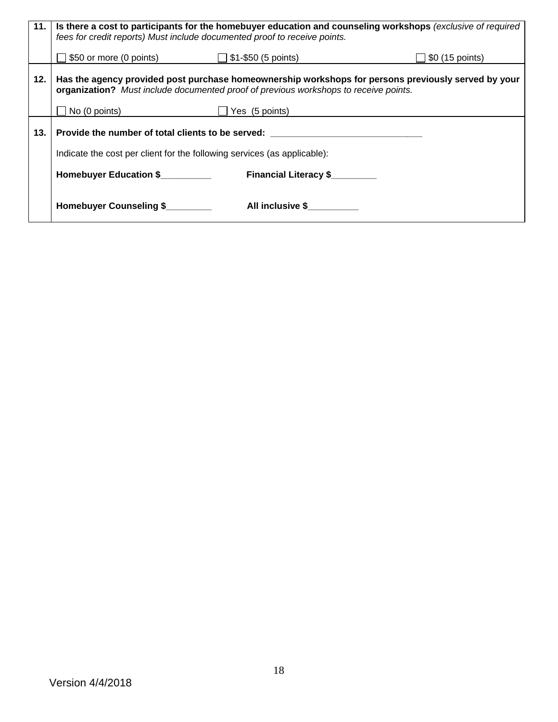| 11. | Is there a cost to participants for the homebuyer education and counseling workshops (exclusive of required<br>fees for credit reports) Must include documented proof to receive points. |                              |                                                                                                     |
|-----|------------------------------------------------------------------------------------------------------------------------------------------------------------------------------------------|------------------------------|-----------------------------------------------------------------------------------------------------|
|     | $$50$ or more (0 points) $$1-\$50$ (5 points)                                                                                                                                            |                              | $\Box$ \$0 (15 points)                                                                              |
| 12. | organization? Must include documented proof of previous workshops to receive points.                                                                                                     |                              | Has the agency provided post purchase homeownership workshops for persons previously served by your |
|     | $\Box$ No (0 points)                                                                                                                                                                     | Yes (5 points)               |                                                                                                     |
| 13. | Provide the number of total clients to be served:                                                                                                                                        |                              |                                                                                                     |
|     | Indicate the cost per client for the following services (as applicable):                                                                                                                 |                              |                                                                                                     |
|     | Homebuyer Education \$                                                                                                                                                                   | <b>Financial Literacy \$</b> |                                                                                                     |
|     | Homebuyer Counseling \$                                                                                                                                                                  | All inclusive \$             |                                                                                                     |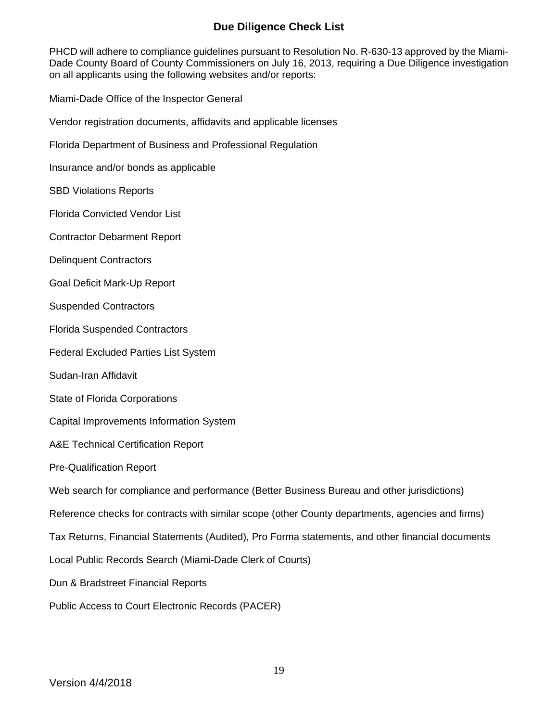## **Due Diligence Check List**

PHCD will adhere to compliance guidelines pursuant to Resolution No. R-630-13 approved by the Miami-Dade County Board of County Commissioners on July 16, 2013, requiring a Due Diligence investigation on all applicants using the following websites and/or reports:

Miami-Dade Office of the Inspector General

Vendor registration documents, affidavits and applicable licenses

Florida Department of Business and Professional Regulation

Insurance and/or bonds as applicable

SBD Violations Reports

Florida Convicted Vendor List

Contractor Debarment Report

Delinquent Contractors

Goal Deficit Mark-Up Report

Suspended Contractors

Florida Suspended Contractors

Federal Excluded Parties List System

Sudan-Iran Affidavit

State of Florida Corporations

Capital Improvements Information System

A&E Technical Certification Report

Pre-Qualification Report

Web search for compliance and performance (Better Business Bureau and other jurisdictions)

Reference checks for contracts with similar scope (other County departments, agencies and firms)

Tax Returns, Financial Statements (Audited), Pro Forma statements, and other financial documents

Local Public Records Search (Miami-Dade Clerk of Courts)

Dun & Bradstreet Financial Reports

Public Access to Court Electronic Records (PACER)